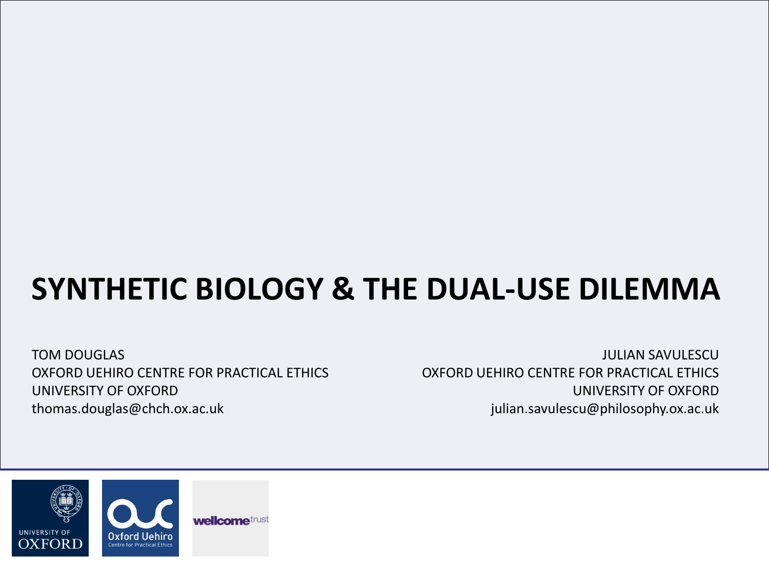# **SYNTHETIC BIOLOGY & THE DUAL-USE DILEMMA**

TOM DOUGLAS OXFORD UEHIRO CENTRE FOR PRACTICAL ETHICS UNIVERSITY OF OXFORD thomas.douglas@chch.ox.ac.uk

JULIAN SAVULESCU OXFORD UEHIRO CENTRE FOR PRACTICAL ETHICS UNIVERSITY OF OXFORD julian.savulescu@philosophy.ox.ac.uk

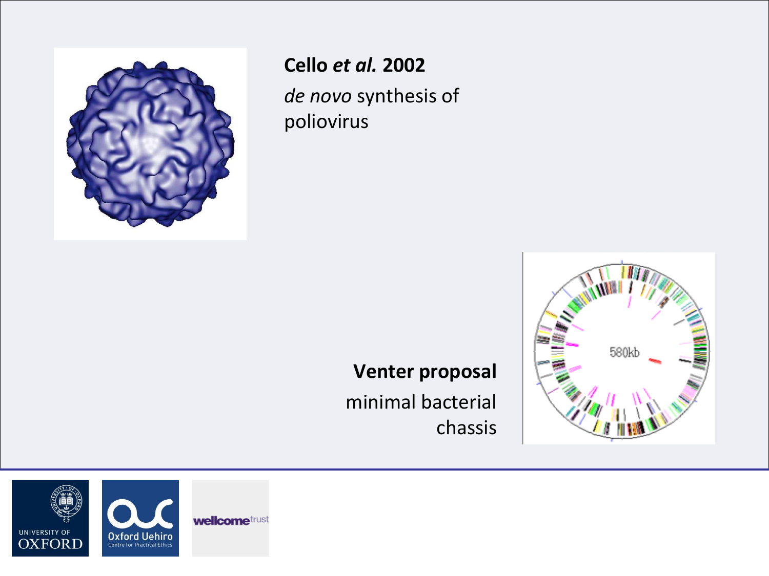

# **Cello** *et al.* **2002**

*de novo* synthesis of poliovirus

# **Venter proposal**

minimal bacterial chassis



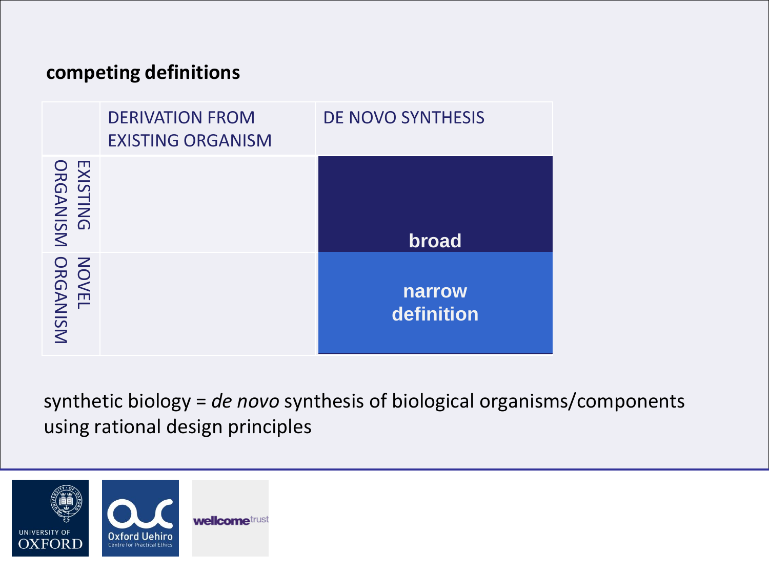### **competing definitions**

|                           | <b>DERIVATION FROM</b><br><b>EXISTING ORGANISM</b> | <b>DE NOVO SYNTHESIS</b>    |
|---------------------------|----------------------------------------------------|-----------------------------|
| EXISTING<br>ORGANISM      |                                                    | broad                       |
| <b>NOVEL<br/>ORGANISM</b> |                                                    | <b>narrow</b><br>definition |

synthetic biology = *de novo* synthesis of biological organisms/components using rational design principles

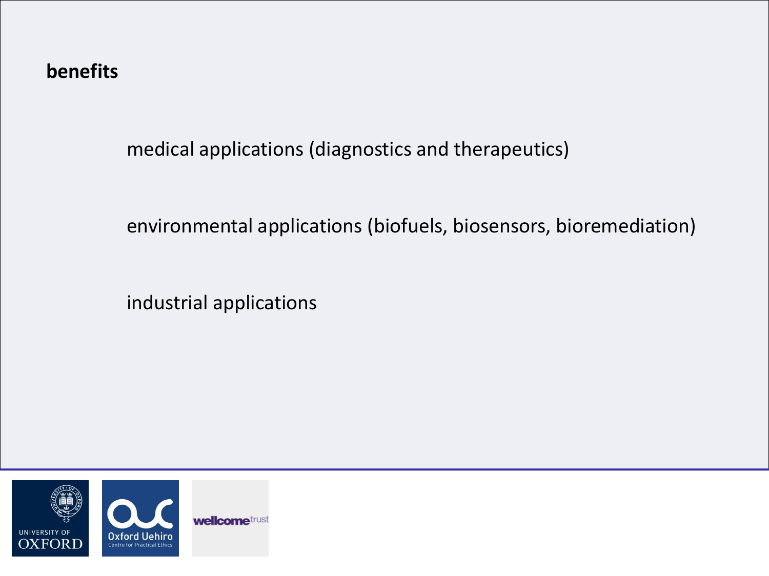### **benefits**

medical applications (diagnostics and therapeutics)

environmental applications (biofuels, biosensors, bioremediation)

industrial applications

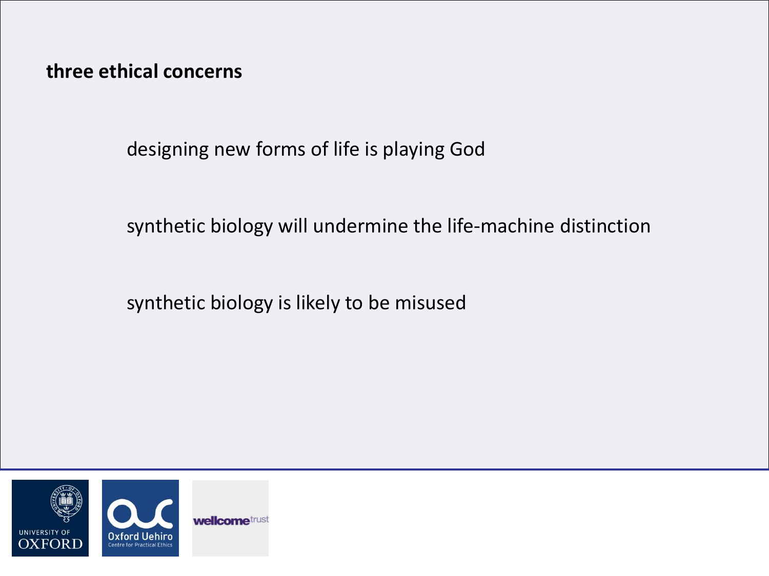**three ethical concerns**

designing new forms of life is playing God

synthetic biology will undermine the life-machine distinction

synthetic biology is likely to be misused

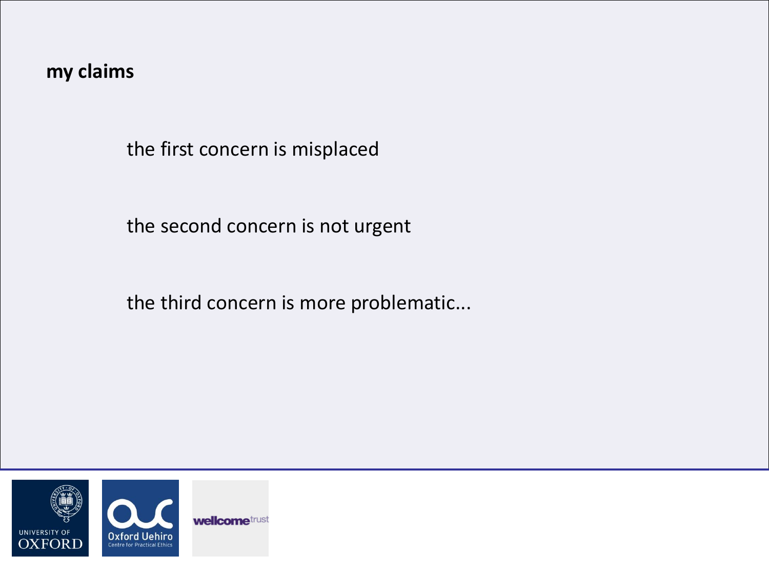**my claims**

the first concern is misplaced

the second concern is not urgent

the third concern is more problematic...

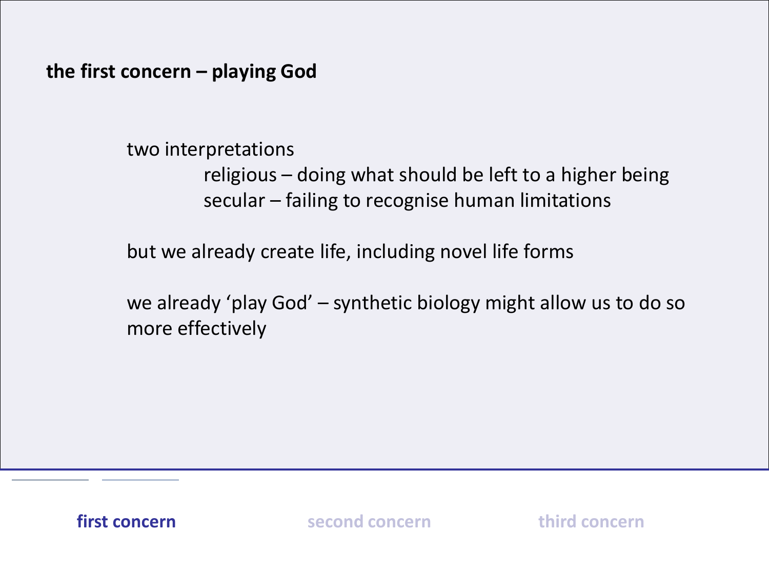**the first concern – playing God**

two interpretations

religious – doing what should be left to a higher being secular – failing to recognise human limitations

but we already create life, including novel life forms

we already 'play God' – synthetic biology might allow us to do so more effectively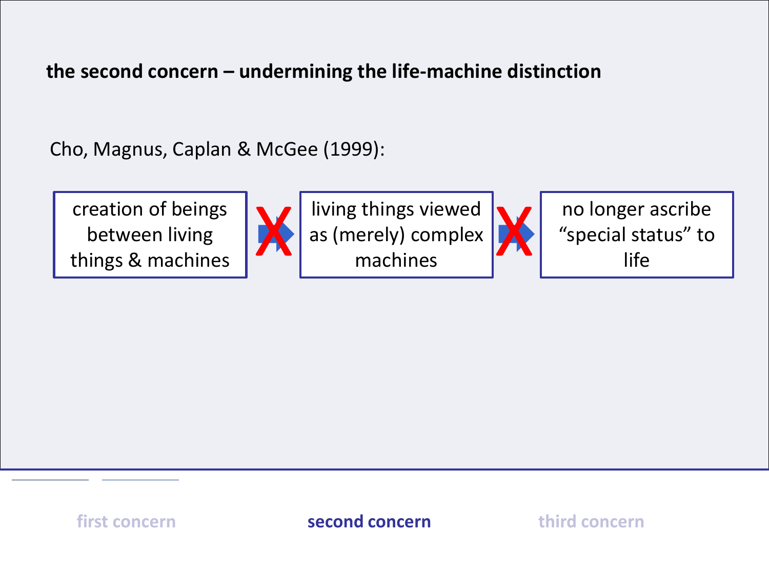**the second concern – undermining the life-machine distinction**

Cho, Magnus, Caplan & McGee (1999):

creation of beings between living things & machines



X living things viewed<br>as (merely) complex<br>machines as (merely) complex machines



no longer ascribe "special status" to life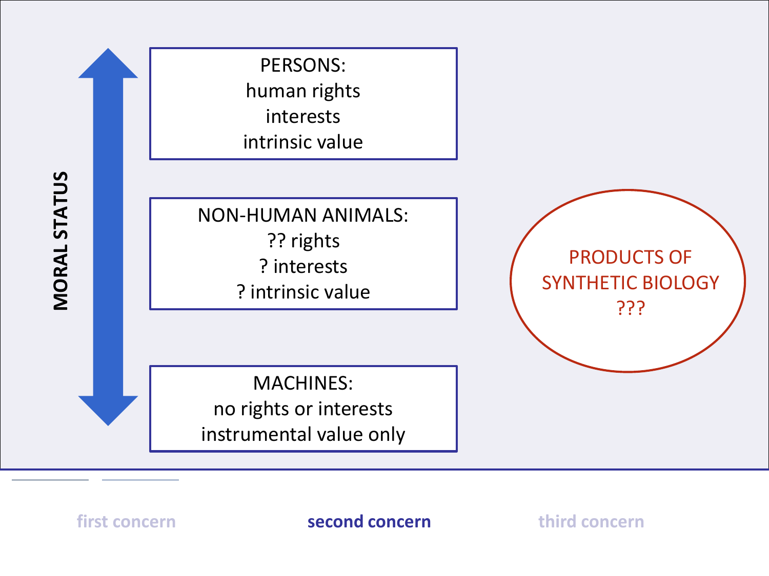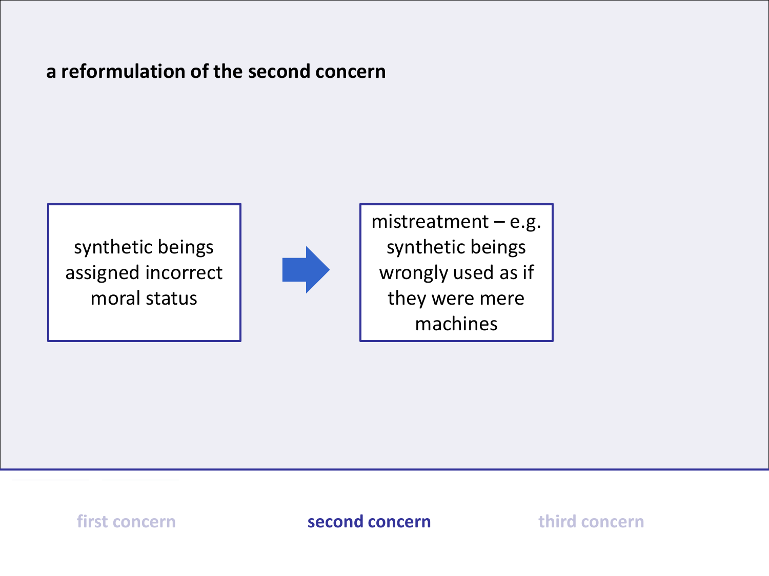### **a reformulation of the second concern**

synthetic beings assigned incorrect moral status



mistreatment – e.g. synthetic beings wrongly used as if they were mere machines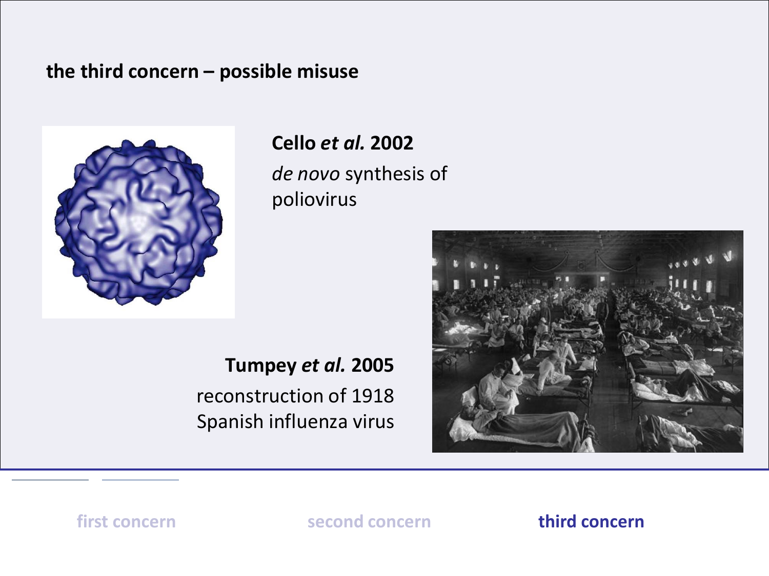#### **the third concern – possible misuse**



# **Cello** *et al.* **2002**

*de novo* synthesis of poliovirus

**Tumpey** *et al.* **2005** reconstruction of 1918 Spanish influenza virus

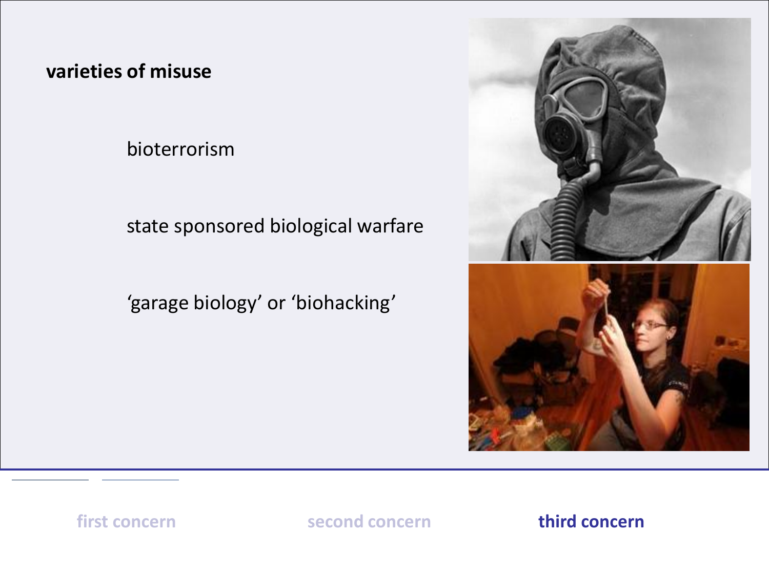### **varieties of misuse**

bioterrorism

### state sponsored biological warfare

# 'garage biology' or 'biohacking'

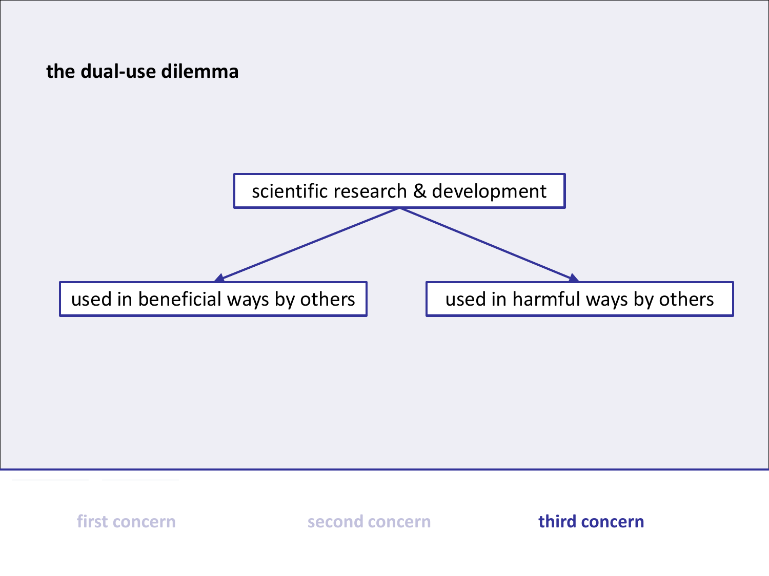### **the dual-use dilemma**

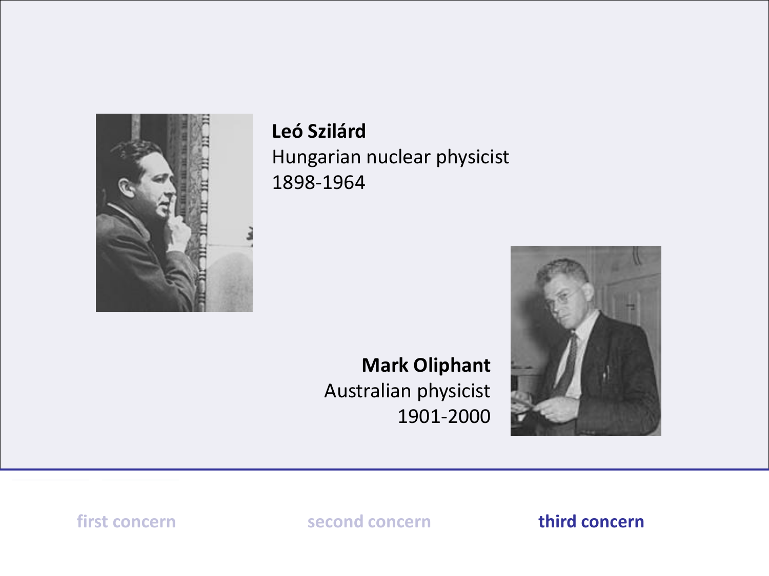

## **Leó Szilárd**

Hungarian nuclear physicist 1898-1964

# **Mark Oliphant** Australian physicist 1901-2000

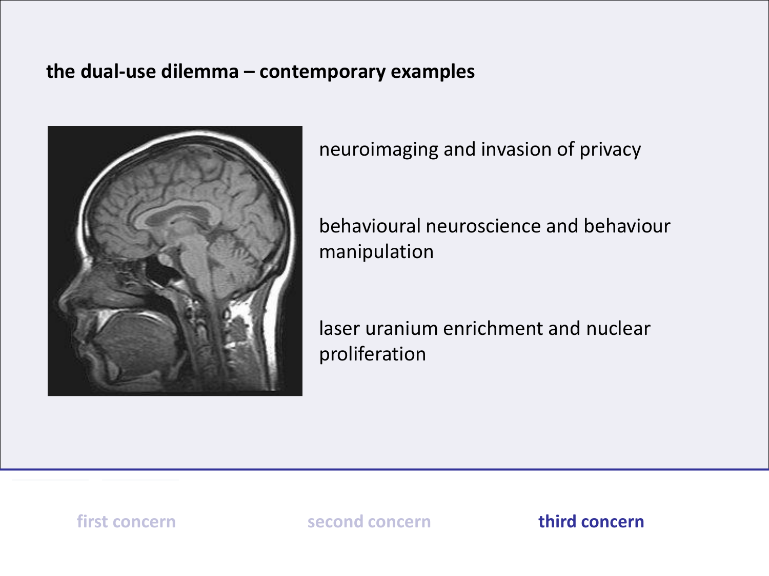#### **the dual-use dilemma – contemporary examples**



neuroimaging and invasion of privacy

behavioural neuroscience and behaviour manipulation

laser uranium enrichment and nuclear proliferation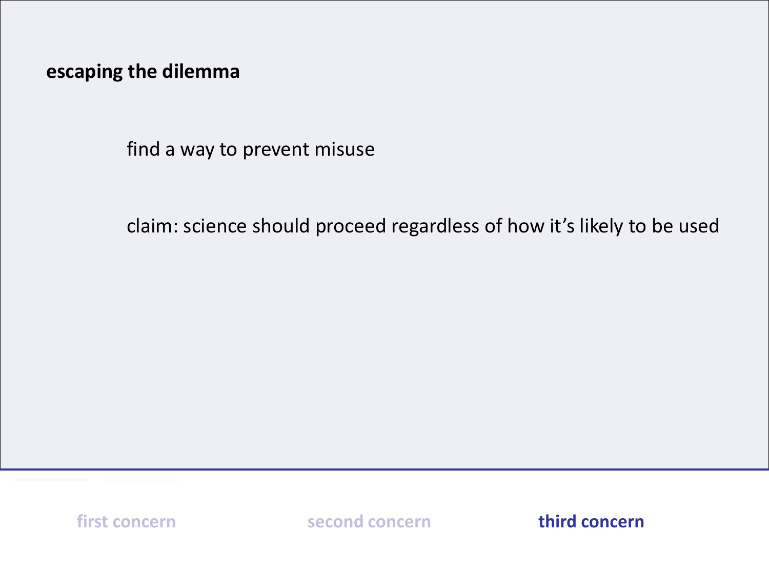**escaping the dilemma**

find a way to prevent misuse

claim: science should proceed regardless of how it's likely to be used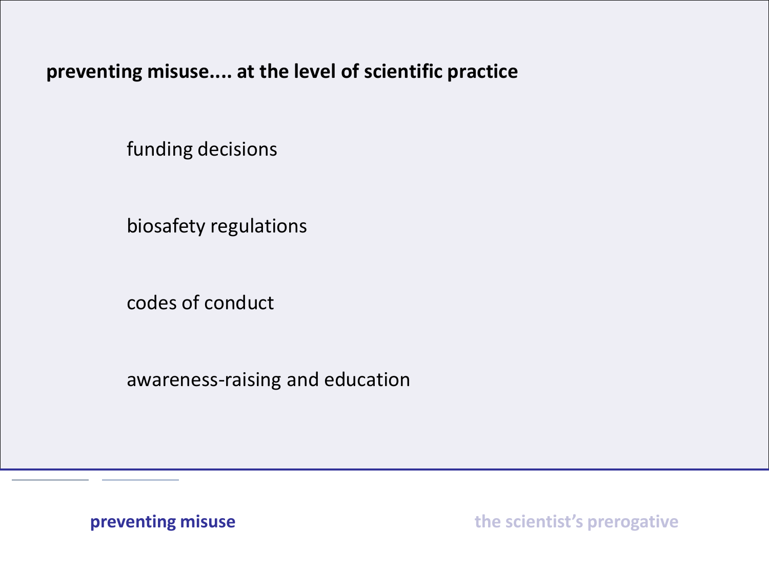**preventing misuse.... at the level of scientific practice**

funding decisions

biosafety regulations

codes of conduct

awareness-raising and education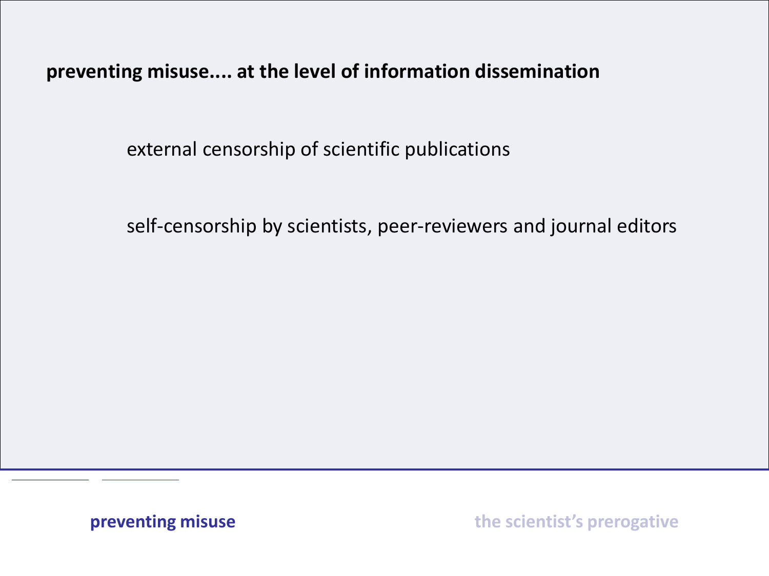**preventing misuse.... at the level of information dissemination**

external censorship of scientific publications

self-censorship by scientists, peer-reviewers and journal editors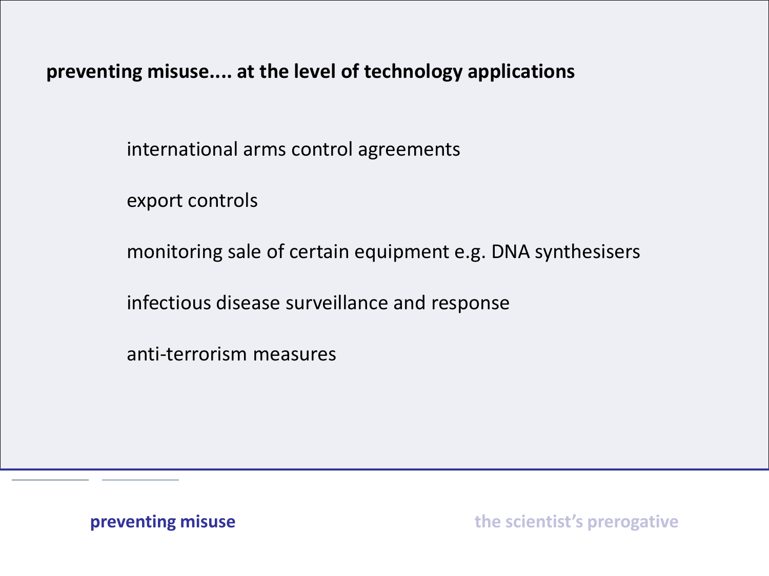**preventing misuse.... at the level of technology applications**

international arms control agreements

export controls

monitoring sale of certain equipment e.g. DNA synthesisers

infectious disease surveillance and response

anti-terrorism measures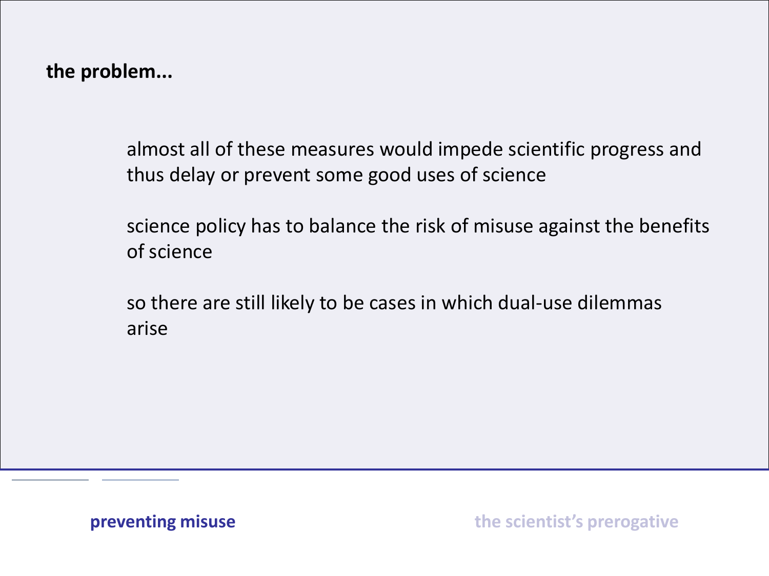**the problem...**

almost all of these measures would impede scientific progress and thus delay or prevent some good uses of science

science policy has to balance the risk of misuse against the benefits of science

so there are still likely to be cases in which dual-use dilemmas arise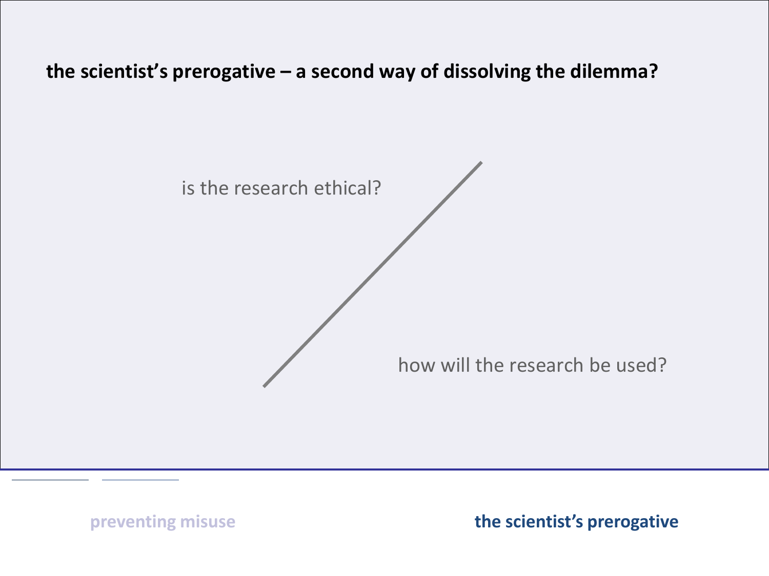**the scientist's prerogative – a second way of dissolving the dilemma?**

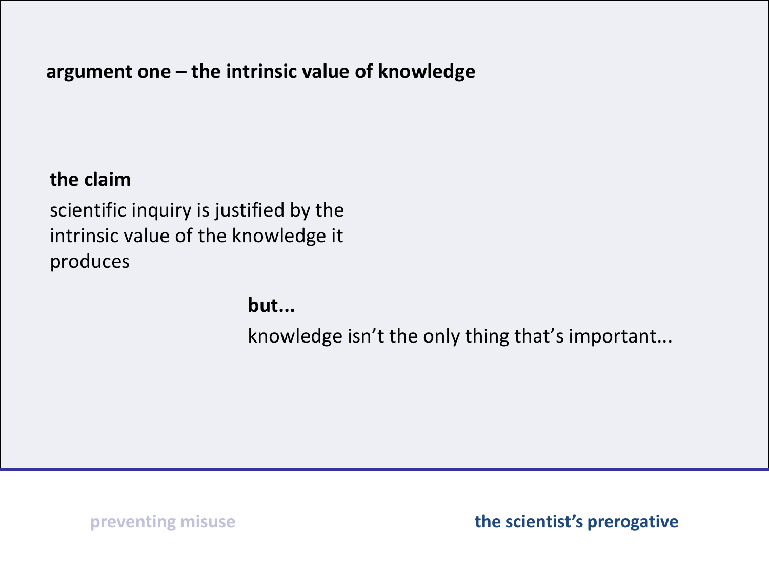### **argument one – the intrinsic value of knowledge**

### **the claim**

scientific inquiry is justified by the intrinsic value of the knowledge it produces

**but...**

knowledge isn't the only thing that's important...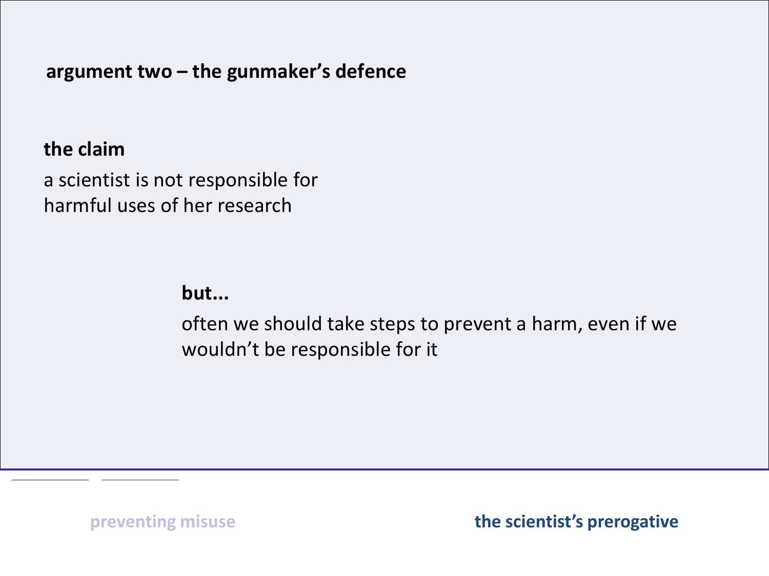**argument two – the gunmaker's defence**

#### **the claim**

a scientist is not responsible for harmful uses of her research

**but...**

often we should take steps to prevent a harm, even if we wouldn't be responsible for it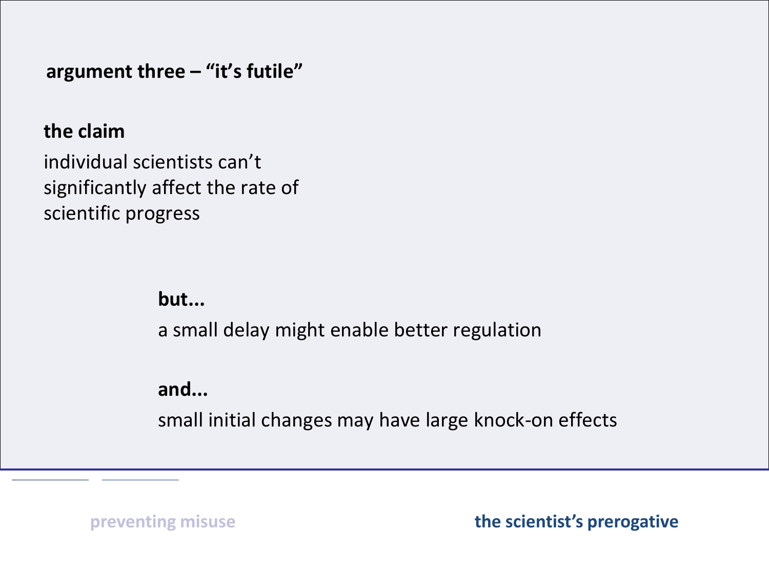**argument three – "it's futile"**

#### **the claim**

individual scientists can't significantly affect the rate of scientific progress

### **but...**

a small delay might enable better regulation

### **and...**

small initial changes may have large knock-on effects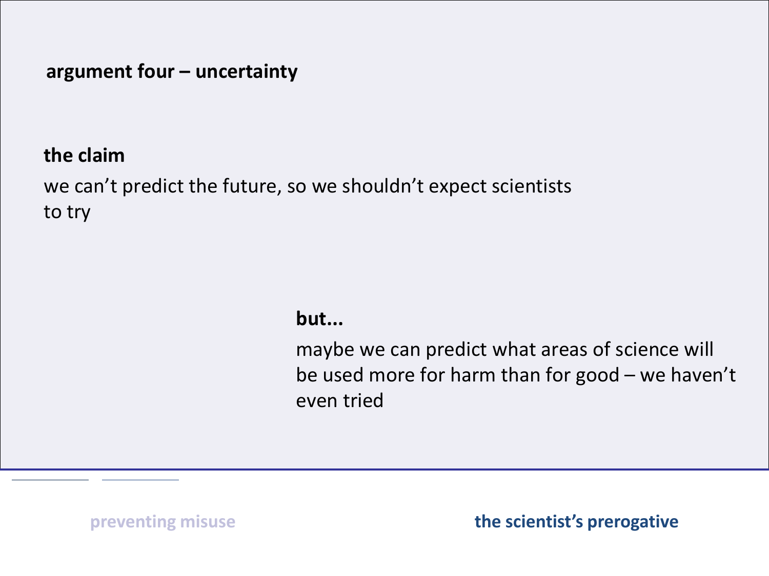### **argument four – uncertainty**

### **the claim**

we can't predict the future, so we shouldn't expect scientists to try

#### **but...**

maybe we can predict what areas of science will be used more for harm than for good – we haven't even tried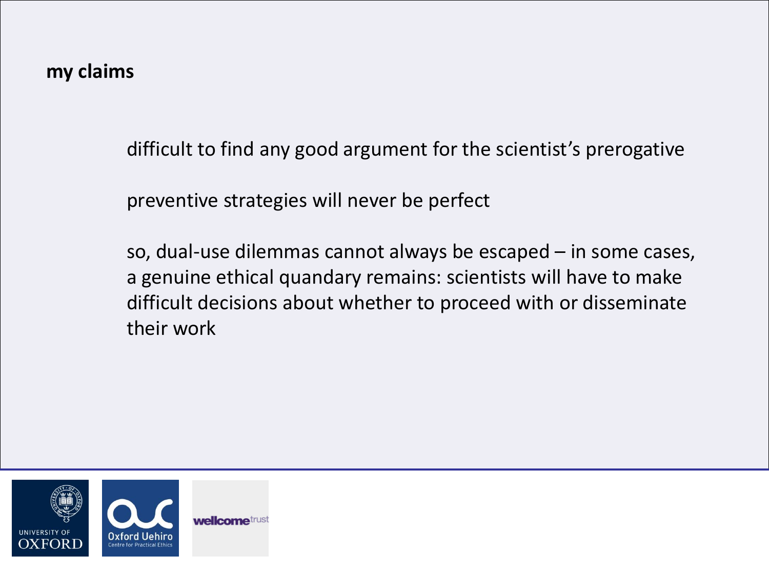difficult to find any good argument for the scientist's prerogative

preventive strategies will never be perfect

so, dual-use dilemmas cannot always be escaped – in some cases, a genuine ethical quandary remains: scientists will have to make difficult decisions about whether to proceed with or disseminate their work